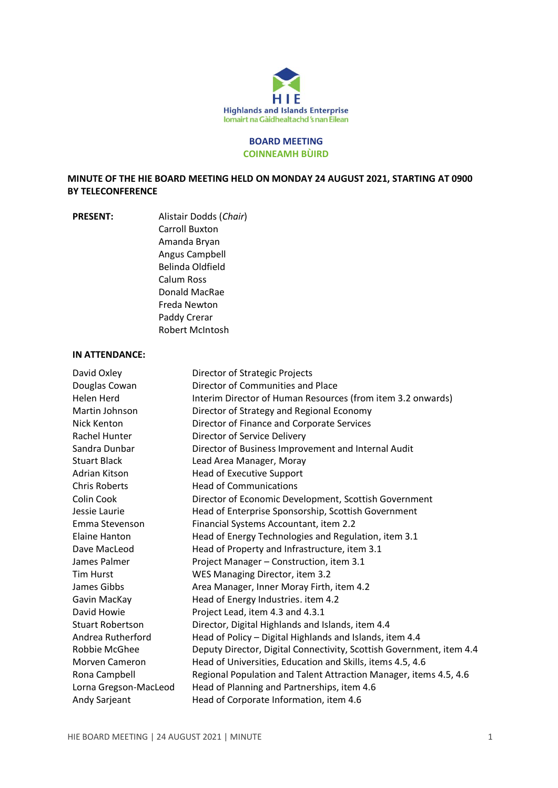

## **BOARD MEETING COINNEAMH BÙIRD**

**MINUTE OF THE HIE BOARD MEETING HELD ON MONDAY 24 AUGUST 2021, STARTING AT 0900 BY TELECONFERENCE**

**PRESENT:** Alistair Dodds (*Chair*) Carroll Buxton Amanda Bryan Angus Campbell Belinda Oldfield Calum Ross Donald MacRae Freda Newton Paddy Crerar Robert McIntosh

### **IN ATTENDANCE:**

| David Oxley             | Director of Strategic Projects                                       |
|-------------------------|----------------------------------------------------------------------|
| Douglas Cowan           | Director of Communities and Place                                    |
| Helen Herd              | Interim Director of Human Resources (from item 3.2 onwards)          |
| Martin Johnson          | Director of Strategy and Regional Economy                            |
| Nick Kenton             | Director of Finance and Corporate Services                           |
| Rachel Hunter           | Director of Service Delivery                                         |
| Sandra Dunbar           | Director of Business Improvement and Internal Audit                  |
| <b>Stuart Black</b>     | Lead Area Manager, Moray                                             |
| Adrian Kitson           | <b>Head of Executive Support</b>                                     |
| <b>Chris Roberts</b>    | <b>Head of Communications</b>                                        |
| Colin Cook              | Director of Economic Development, Scottish Government                |
| Jessie Laurie           | Head of Enterprise Sponsorship, Scottish Government                  |
| Emma Stevenson          | Financial Systems Accountant, item 2.2                               |
| Elaine Hanton           | Head of Energy Technologies and Regulation, item 3.1                 |
| Dave MacLeod            | Head of Property and Infrastructure, item 3.1                        |
| James Palmer            | Project Manager - Construction, item 3.1                             |
| Tim Hurst               | WES Managing Director, item 3.2                                      |
| James Gibbs             | Area Manager, Inner Moray Firth, item 4.2                            |
| Gavin MacKay            | Head of Energy Industries. item 4.2                                  |
| David Howie             | Project Lead, item 4.3 and 4.3.1                                     |
| <b>Stuart Robertson</b> | Director, Digital Highlands and Islands, item 4.4                    |
| Andrea Rutherford       | Head of Policy - Digital Highlands and Islands, item 4.4             |
| Robbie McGhee           | Deputy Director, Digital Connectivity, Scottish Government, item 4.4 |
| Morven Cameron          | Head of Universities, Education and Skills, items 4.5, 4.6           |
| Rona Campbell           | Regional Population and Talent Attraction Manager, items 4.5, 4.6    |
| Lorna Gregson-MacLeod   | Head of Planning and Partnerships, item 4.6                          |
| Andy Sarjeant           | Head of Corporate Information, item 4.6                              |
|                         |                                                                      |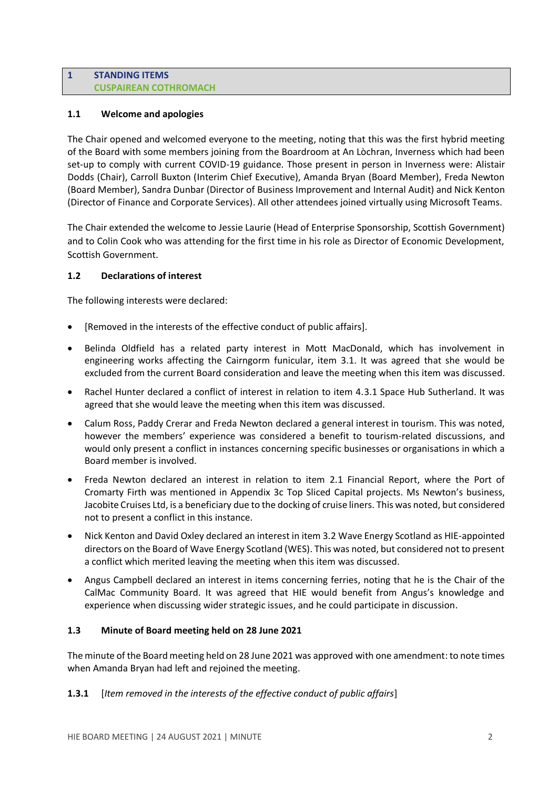### **1 STANDING ITEMS CUSPAIREAN COTHROMACH**

## **1.1 Welcome and apologies**

The Chair opened and welcomed everyone to the meeting, noting that this was the first hybrid meeting of the Board with some members joining from the Boardroom at An Lòchran, Inverness which had been set-up to comply with current COVID-19 guidance. Those present in person in Inverness were: Alistair Dodds (Chair), Carroll Buxton (Interim Chief Executive), Amanda Bryan (Board Member), Freda Newton (Board Member), Sandra Dunbar (Director of Business Improvement and Internal Audit) and Nick Kenton (Director of Finance and Corporate Services). All other attendees joined virtually using Microsoft Teams.

The Chair extended the welcome to Jessie Laurie (Head of Enterprise Sponsorship, Scottish Government) and to Colin Cook who was attending for the first time in his role as Director of Economic Development, Scottish Government.

## **1.2 Declarations of interest**

The following interests were declared:

- [Removed in the interests of the effective conduct of public affairs].
- Belinda Oldfield has a related party interest in Mott MacDonald, which has involvement in engineering works affecting the Cairngorm funicular, item 3.1. It was agreed that she would be excluded from the current Board consideration and leave the meeting when this item was discussed.
- Rachel Hunter declared a conflict of interest in relation to item 4.3.1 Space Hub Sutherland. It was agreed that she would leave the meeting when this item was discussed.
- Calum Ross, Paddy Crerar and Freda Newton declared a general interest in tourism. This was noted, however the members' experience was considered a benefit to tourism-related discussions, and would only present a conflict in instances concerning specific businesses or organisations in which a Board member is involved.
- Freda Newton declared an interest in relation to item 2.1 Financial Report, where the Port of Cromarty Firth was mentioned in Appendix 3c Top Sliced Capital projects. Ms Newton's business, Jacobite Cruises Ltd, is a beneficiary due to the docking of cruise liners. This was noted, but considered not to present a conflict in this instance.
- Nick Kenton and David Oxley declared an interest in item 3.2 Wave Energy Scotland as HIE-appointed directors on the Board of Wave Energy Scotland (WES). This was noted, but considered not to present a conflict which merited leaving the meeting when this item was discussed.
- Angus Campbell declared an interest in items concerning ferries, noting that he is the Chair of the CalMac Community Board. It was agreed that HIE would benefit from Angus's knowledge and experience when discussing wider strategic issues, and he could participate in discussion.

### **1.3 Minute of Board meeting held on 28 June 2021**

The minute of the Board meeting held on 28 June 2021 was approved with one amendment: to note times when Amanda Bryan had left and rejoined the meeting.

## **1.3.1** [*Item removed in the interests of the effective conduct of public affairs*]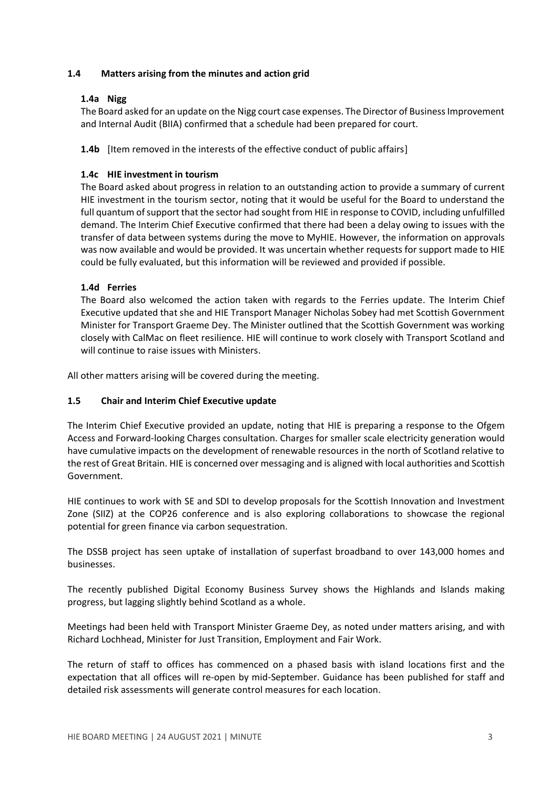## **1.4 Matters arising from the minutes and action grid**

### **1.4a Nigg**

The Board asked for an update on the Nigg court case expenses. The Director of Business Improvement and Internal Audit (BIIA) confirmed that a schedule had been prepared for court.

**1.4b** [Item removed in the interests of the effective conduct of public affairs]

## **1.4c HIE investment in tourism**

The Board asked about progress in relation to an outstanding action to provide a summary of current HIE investment in the tourism sector, noting that it would be useful for the Board to understand the full quantum of support that the sector had sought from HIE in response to COVID, including unfulfilled demand. The Interim Chief Executive confirmed that there had been a delay owing to issues with the transfer of data between systems during the move to MyHIE. However, the information on approvals was now available and would be provided. It was uncertain whether requests for support made to HIE could be fully evaluated, but this information will be reviewed and provided if possible.

## **1.4d Ferries**

The Board also welcomed the action taken with regards to the Ferries update. The Interim Chief Executive updated that she and HIE Transport Manager Nicholas Sobey had met Scottish Government Minister for Transport Graeme Dey. The Minister outlined that the Scottish Government was working closely with CalMac on fleet resilience. HIE will continue to work closely with Transport Scotland and will continue to raise issues with Ministers.

All other matters arising will be covered during the meeting.

### **1.5 Chair and Interim Chief Executive update**

The Interim Chief Executive provided an update, noting that HIE is preparing a response to the Ofgem Access and Forward-looking Charges consultation. Charges for smaller scale electricity generation would have cumulative impacts on the development of renewable resources in the north of Scotland relative to the rest of Great Britain. HIE is concerned over messaging and is aligned with local authorities and Scottish Government.

HIE continues to work with SE and SDI to develop proposals for the Scottish Innovation and Investment Zone (SIIZ) at the COP26 conference and is also exploring collaborations to showcase the regional potential for green finance via carbon sequestration.

The DSSB project has seen uptake of installation of superfast broadband to over 143,000 homes and businesses.

The recently published Digital Economy Business Survey shows the Highlands and Islands making progress, but lagging slightly behind Scotland as a whole.

Meetings had been held with Transport Minister Graeme Dey, as noted under matters arising, and with Richard Lochhead, Minister for Just Transition, Employment and Fair Work.

The return of staff to offices has commenced on a phased basis with island locations first and the expectation that all offices will re-open by mid-September. Guidance has been published for staff and detailed risk assessments will generate control measures for each location.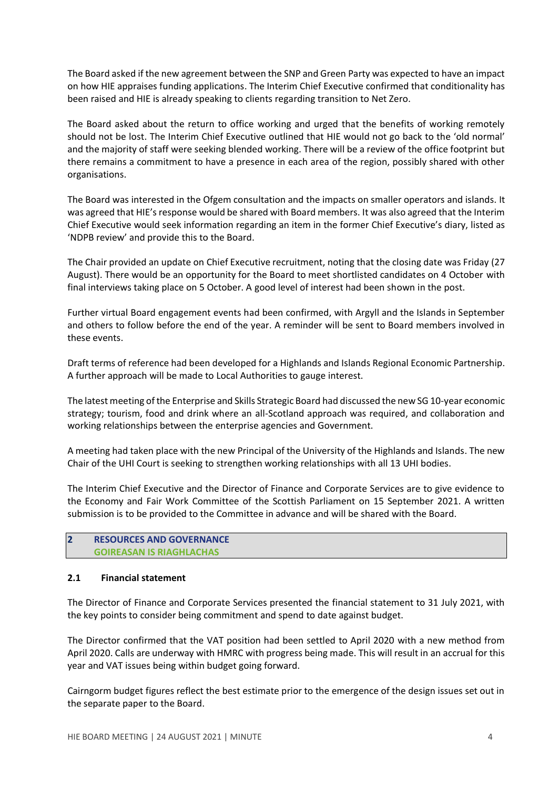The Board asked if the new agreement between the SNP and Green Party was expected to have an impact on how HIE appraises funding applications. The Interim Chief Executive confirmed that conditionality has been raised and HIE is already speaking to clients regarding transition to Net Zero.

The Board asked about the return to office working and urged that the benefits of working remotely should not be lost. The Interim Chief Executive outlined that HIE would not go back to the 'old normal' and the majority of staff were seeking blended working. There will be a review of the office footprint but there remains a commitment to have a presence in each area of the region, possibly shared with other organisations.

The Board was interested in the Ofgem consultation and the impacts on smaller operators and islands. It was agreed that HIE's response would be shared with Board members. It was also agreed that the Interim Chief Executive would seek information regarding an item in the former Chief Executive's diary, listed as 'NDPB review' and provide this to the Board.

The Chair provided an update on Chief Executive recruitment, noting that the closing date was Friday (27 August). There would be an opportunity for the Board to meet shortlisted candidates on 4 October with final interviews taking place on 5 October. A good level of interest had been shown in the post.

Further virtual Board engagement events had been confirmed, with Argyll and the Islands in September and others to follow before the end of the year. A reminder will be sent to Board members involved in these events.

Draft terms of reference had been developed for a Highlands and Islands Regional Economic Partnership. A further approach will be made to Local Authorities to gauge interest.

The latest meeting of the Enterprise and Skills Strategic Board had discussed the new SG 10-year economic strategy; tourism, food and drink where an all-Scotland approach was required, and collaboration and working relationships between the enterprise agencies and Government.

A meeting had taken place with the new Principal of the University of the Highlands and Islands. The new Chair of the UHI Court is seeking to strengthen working relationships with all 13 UHI bodies.

The Interim Chief Executive and the Director of Finance and Corporate Services are to give evidence to the Economy and Fair Work Committee of the Scottish Parliament on 15 September 2021. A written submission is to be provided to the Committee in advance and will be shared with the Board.

### **2 RESOURCES AND GOVERNANCE GOIREASAN IS RIAGHLACHAS**

### **2.1 Financial statement**

The Director of Finance and Corporate Services presented the financial statement to 31 July 2021, with the key points to consider being commitment and spend to date against budget.

The Director confirmed that the VAT position had been settled to April 2020 with a new method from April 2020. Calls are underway with HMRC with progress being made. This will result in an accrual for this year and VAT issues being within budget going forward.

Cairngorm budget figures reflect the best estimate prior to the emergence of the design issues set out in the separate paper to the Board.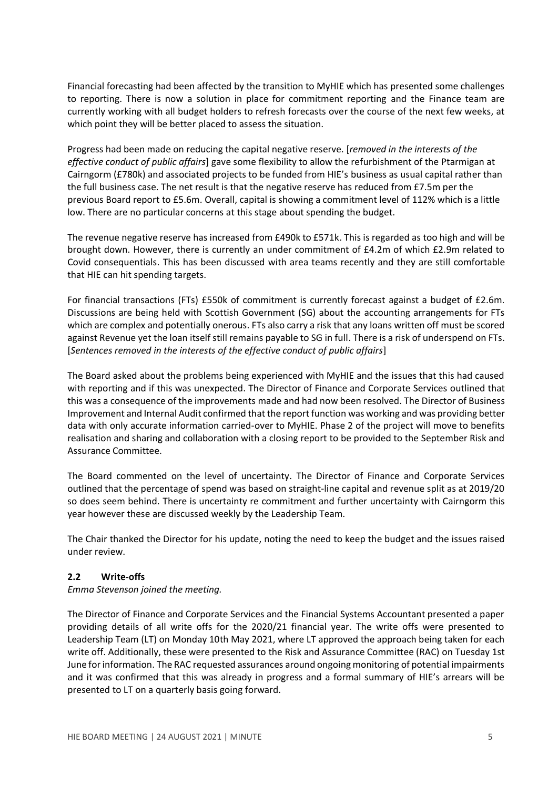Financial forecasting had been affected by the transition to MyHIE which has presented some challenges to reporting. There is now a solution in place for commitment reporting and the Finance team are currently working with all budget holders to refresh forecasts over the course of the next few weeks, at which point they will be better placed to assess the situation.

Progress had been made on reducing the capital negative reserve. [*removed in the interests of the effective conduct of public affairs*] gave some flexibility to allow the refurbishment of the Ptarmigan at Cairngorm (£780k) and associated projects to be funded from HIE's business as usual capital rather than the full business case. The net result is that the negative reserve has reduced from £7.5m per the previous Board report to £5.6m. Overall, capital is showing a commitment level of 112% which is a little low. There are no particular concerns at this stage about spending the budget.

The revenue negative reserve has increased from £490k to £571k. This is regarded as too high and will be brought down. However, there is currently an under commitment of £4.2m of which £2.9m related to Covid consequentials. This has been discussed with area teams recently and they are still comfortable that HIE can hit spending targets.

For financial transactions (FTs) £550k of commitment is currently forecast against a budget of £2.6m. Discussions are being held with Scottish Government (SG) about the accounting arrangements for FTs which are complex and potentially onerous. FTs also carry a risk that any loans written off must be scored against Revenue yet the loan itself still remains payable to SG in full. There is a risk of underspend on FTs. [*Sentences removed in the interests of the effective conduct of public affairs*]

The Board asked about the problems being experienced with MyHIE and the issues that this had caused with reporting and if this was unexpected. The Director of Finance and Corporate Services outlined that this was a consequence of the improvements made and had now been resolved. The Director of Business Improvement and Internal Audit confirmed that the report function was working and was providing better data with only accurate information carried-over to MyHIE. Phase 2 of the project will move to benefits realisation and sharing and collaboration with a closing report to be provided to the September Risk and Assurance Committee.

The Board commented on the level of uncertainty. The Director of Finance and Corporate Services outlined that the percentage of spend was based on straight-line capital and revenue split as at 2019/20 so does seem behind. There is uncertainty re commitment and further uncertainty with Cairngorm this year however these are discussed weekly by the Leadership Team.

The Chair thanked the Director for his update, noting the need to keep the budget and the issues raised under review.

## **2.2 Write-offs**

*Emma Stevenson joined the meeting.*

The Director of Finance and Corporate Services and the Financial Systems Accountant presented a paper providing details of all write offs for the 2020/21 financial year. The write offs were presented to Leadership Team (LT) on Monday 10th May 2021, where LT approved the approach being taken for each write off. Additionally, these were presented to the Risk and Assurance Committee (RAC) on Tuesday 1st June for information. The RAC requested assurances around ongoing monitoring of potential impairments and it was confirmed that this was already in progress and a formal summary of HIE's arrears will be presented to LT on a quarterly basis going forward.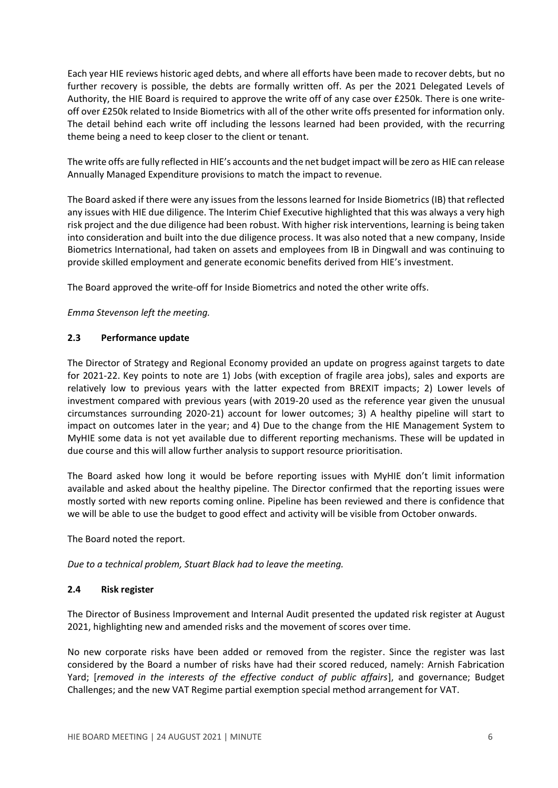Each year HIE reviews historic aged debts, and where all efforts have been made to recover debts, but no further recovery is possible, the debts are formally written off. As per the 2021 Delegated Levels of Authority, the HIE Board is required to approve the write off of any case over £250k. There is one writeoff over £250k related to Inside Biometrics with all of the other write offs presented for information only. The detail behind each write off including the lessons learned had been provided, with the recurring theme being a need to keep closer to the client or tenant.

The write offs are fully reflected in HIE's accounts and the net budget impact will be zero as HIE can release Annually Managed Expenditure provisions to match the impact to revenue.

The Board asked if there were any issues from the lessons learned for Inside Biometrics (IB) that reflected any issues with HIE due diligence. The Interim Chief Executive highlighted that this was always a very high risk project and the due diligence had been robust. With higher risk interventions, learning is being taken into consideration and built into the due diligence process. It was also noted that a new company, Inside Biometrics International, had taken on assets and employees from IB in Dingwall and was continuing to provide skilled employment and generate economic benefits derived from HIE's investment.

The Board approved the write-off for Inside Biometrics and noted the other write offs.

*Emma Stevenson left the meeting.*

### **2.3 Performance update**

The Director of Strategy and Regional Economy provided an update on progress against targets to date for 2021-22. Key points to note are 1) Jobs (with exception of fragile area jobs), sales and exports are relatively low to previous years with the latter expected from BREXIT impacts; 2) Lower levels of investment compared with previous years (with 2019-20 used as the reference year given the unusual circumstances surrounding 2020-21) account for lower outcomes; 3) A healthy pipeline will start to impact on outcomes later in the year; and 4) Due to the change from the HIE Management System to MyHIE some data is not yet available due to different reporting mechanisms. These will be updated in due course and this will allow further analysis to support resource prioritisation.

The Board asked how long it would be before reporting issues with MyHIE don't limit information available and asked about the healthy pipeline. The Director confirmed that the reporting issues were mostly sorted with new reports coming online. Pipeline has been reviewed and there is confidence that we will be able to use the budget to good effect and activity will be visible from October onwards.

The Board noted the report.

*Due to a technical problem, Stuart Black had to leave the meeting.*

## **2.4 Risk register**

The Director of Business Improvement and Internal Audit presented the updated risk register at August 2021, highlighting new and amended risks and the movement of scores over time.

No new corporate risks have been added or removed from the register. Since the register was last considered by the Board a number of risks have had their scored reduced, namely: Arnish Fabrication Yard; [*removed in the interests of the effective conduct of public affairs*], and governance; Budget Challenges; and the new VAT Regime partial exemption special method arrangement for VAT.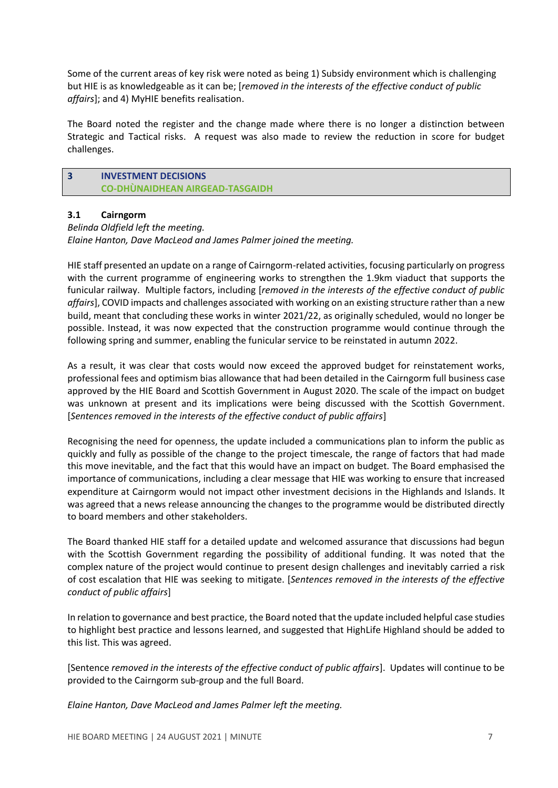Some of the current areas of key risk were noted as being 1) Subsidy environment which is challenging but HIE is as knowledgeable as it can be; [*removed in the interests of the effective conduct of public affairs*]; and 4) MyHIE benefits realisation.

The Board noted the register and the change made where there is no longer a distinction between Strategic and Tactical risks. A request was also made to review the reduction in score for budget challenges.

## **3 INVESTMENT DECISIONS CO-DHÙNAIDHEAN AIRGEAD-TASGAIDH**

## **3.1 Cairngorm**

### *Belinda Oldfield left the meeting. Elaine Hanton, Dave MacLeod and James Palmer joined the meeting.*

HIE staff presented an update on a range of Cairngorm-related activities, focusing particularly on progress with the current programme of engineering works to strengthen the 1.9km viaduct that supports the funicular railway. Multiple factors, including [*removed in the interests of the effective conduct of public affairs*], COVID impacts and challenges associated with working on an existing structure rather than a new build, meant that concluding these works in winter 2021/22, as originally scheduled, would no longer be possible. Instead, it was now expected that the construction programme would continue through the following spring and summer, enabling the funicular service to be reinstated in autumn 2022.

As a result, it was clear that costs would now exceed the approved budget for reinstatement works, professional fees and optimism bias allowance that had been detailed in the Cairngorm full business case approved by the HIE Board and Scottish Government in August 2020. The scale of the impact on budget was unknown at present and its implications were being discussed with the Scottish Government. [*Sentences removed in the interests of the effective conduct of public affairs*]

Recognising the need for openness, the update included a communications plan to inform the public as quickly and fully as possible of the change to the project timescale, the range of factors that had made this move inevitable, and the fact that this would have an impact on budget. The Board emphasised the importance of communications, including a clear message that HIE was working to ensure that increased expenditure at Cairngorm would not impact other investment decisions in the Highlands and Islands. It was agreed that a news release announcing the changes to the programme would be distributed directly to board members and other stakeholders.

The Board thanked HIE staff for a detailed update and welcomed assurance that discussions had begun with the Scottish Government regarding the possibility of additional funding. It was noted that the complex nature of the project would continue to present design challenges and inevitably carried a risk of cost escalation that HIE was seeking to mitigate. [*Sentences removed in the interests of the effective conduct of public affairs*]

In relation to governance and best practice, the Board noted that the update included helpful case studies to highlight best practice and lessons learned, and suggested that HighLife Highland should be added to this list. This was agreed.

[Sentence *removed in the interests of the effective conduct of public affairs*]. Updates will continue to be provided to the Cairngorm sub-group and the full Board.

*Elaine Hanton, Dave MacLeod and James Palmer left the meeting.*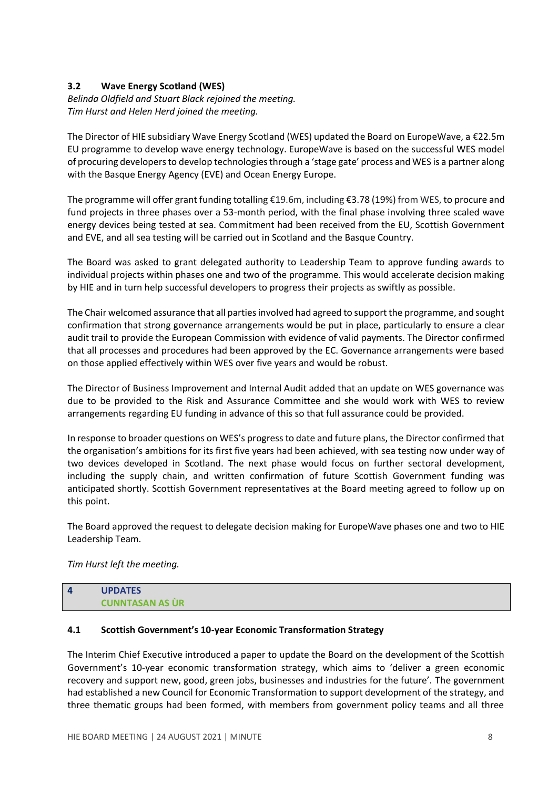# **3.2 Wave Energy Scotland (WES)**

*Belinda Oldfield and Stuart Black rejoined the meeting. Tim Hurst and Helen Herd joined the meeting.*

The Director of HIE subsidiary Wave Energy Scotland (WES) updated the Board on EuropeWave, a €22.5m EU programme to develop wave energy technology. EuropeWave is based on the successful WES model of procuring developers to develop technologies through a 'stage gate' process and WES is a partner along with the Basque Energy Agency (EVE) and Ocean Energy Europe.

The programme will offer grant funding totalling €19.6m, including €3.78 (19%) from WES, to procure and fund projects in three phases over a 53-month period, with the final phase involving three scaled wave energy devices being tested at sea. Commitment had been received from the EU, Scottish Government and EVE, and all sea testing will be carried out in Scotland and the Basque Country.

The Board was asked to grant delegated authority to Leadership Team to approve funding awards to individual projects within phases one and two of the programme. This would accelerate decision making by HIE and in turn help successful developers to progress their projects as swiftly as possible.

The Chair welcomed assurance that all parties involved had agreed to support the programme, and sought confirmation that strong governance arrangements would be put in place, particularly to ensure a clear audit trail to provide the European Commission with evidence of valid payments. The Director confirmed that all processes and procedures had been approved by the EC. Governance arrangements were based on those applied effectively within WES over five years and would be robust.

The Director of Business Improvement and Internal Audit added that an update on WES governance was due to be provided to the Risk and Assurance Committee and she would work with WES to review arrangements regarding EU funding in advance of this so that full assurance could be provided.

In response to broader questions on WES's progress to date and future plans, the Director confirmed that the organisation's ambitions for its first five years had been achieved, with sea testing now under way of two devices developed in Scotland. The next phase would focus on further sectoral development, including the supply chain, and written confirmation of future Scottish Government funding was anticipated shortly. Scottish Government representatives at the Board meeting agreed to follow up on this point.

The Board approved the request to delegate decision making for EuropeWave phases one and two to HIE Leadership Team.

*Tim Hurst left the meeting.*

| $\overline{a}$ | <b>UPDATES</b>         |
|----------------|------------------------|
|                | <b>CUNNTASAN AS UR</b> |

### **4.1 Scottish Government's 10-year Economic Transformation Strategy**

The Interim Chief Executive introduced a paper to update the Board on the development of the Scottish Government's 10-year economic transformation strategy, which aims to 'deliver a green economic recovery and support new, good, green jobs, businesses and industries for the future'. The government had established a new Council for Economic Transformation to support development of the strategy, and three thematic groups had been formed, with members from government policy teams and all three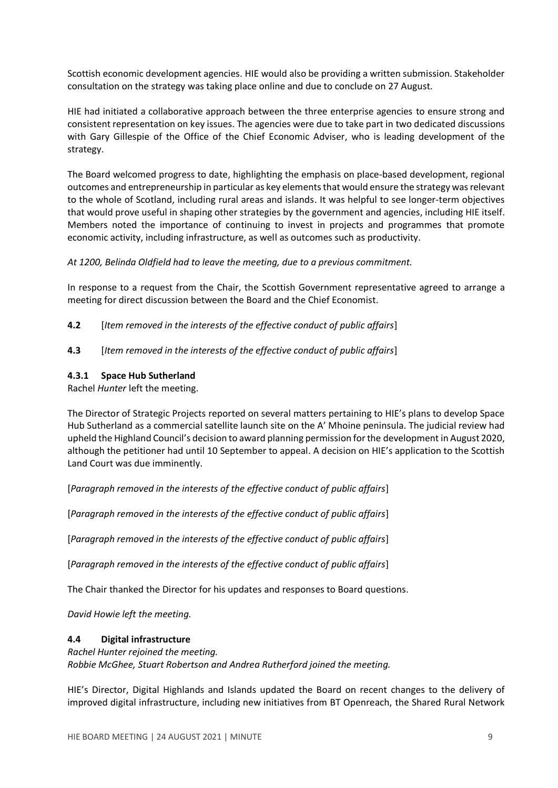Scottish economic development agencies. HIE would also be providing a written submission. Stakeholder consultation on the strategy was taking place online and due to conclude on 27 August.

HIE had initiated a collaborative approach between the three enterprise agencies to ensure strong and consistent representation on key issues. The agencies were due to take part in two dedicated discussions with Gary Gillespie of the Office of the Chief Economic Adviser, who is leading development of the strategy.

The Board welcomed progress to date, highlighting the emphasis on place-based development, regional outcomes and entrepreneurship in particular as key elements that would ensure the strategy was relevant to the whole of Scotland, including rural areas and islands. It was helpful to see longer-term objectives that would prove useful in shaping other strategies by the government and agencies, including HIE itself. Members noted the importance of continuing to invest in projects and programmes that promote economic activity, including infrastructure, as well as outcomes such as productivity.

*At 1200, Belinda Oldfield had to leave the meeting, due to a previous commitment.* 

In response to a request from the Chair, the Scottish Government representative agreed to arrange a meeting for direct discussion between the Board and the Chief Economist.

- **4.2** [*Item removed in the interests of the effective conduct of public affairs*]
- **4.3** [*Item removed in the interests of the effective conduct of public affairs*]

## **4.3.1 Space Hub Sutherland**

Rachel *Hunter* left the meeting.

The Director of Strategic Projects reported on several matters pertaining to HIE's plans to develop Space Hub Sutherland as a commercial satellite launch site on the A' Mhoine peninsula. The judicial review had upheld the Highland Council's decision to award planning permission for the development in August 2020, although the petitioner had until 10 September to appeal. A decision on HIE's application to the Scottish Land Court was due imminently.

[*Paragraph removed in the interests of the effective conduct of public affairs*]

[*Paragraph removed in the interests of the effective conduct of public affairs*]

[*Paragraph removed in the interests of the effective conduct of public affairs*]

[*Paragraph removed in the interests of the effective conduct of public affairs*]

The Chair thanked the Director for his updates and responses to Board questions.

*David Howie left the meeting.*

### **4.4 Digital infrastructure**

### *Rachel Hunter rejoined the meeting.*

*Robbie McGhee, Stuart Robertson and Andrea Rutherford joined the meeting.*

HIE's Director, Digital Highlands and Islands updated the Board on recent changes to the delivery of improved digital infrastructure, including new initiatives from BT Openreach, the Shared Rural Network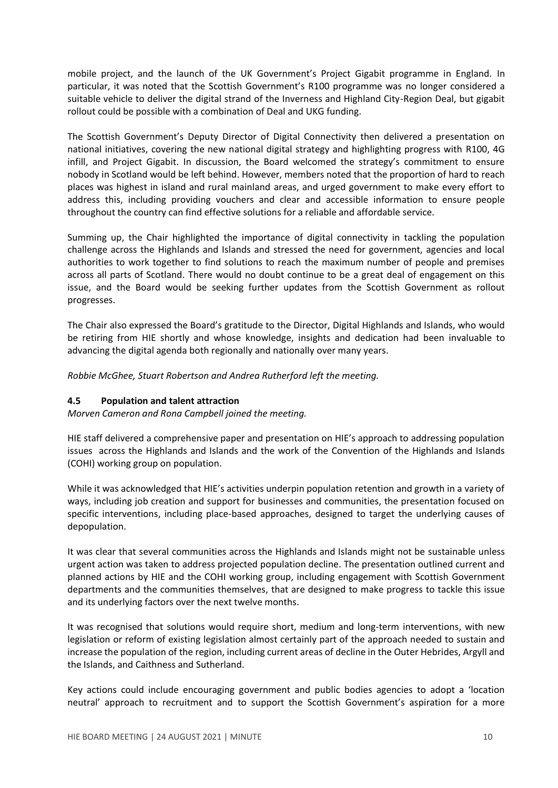mobile project, and the launch of the UK Government's Project Gigabit programme in England. In particular, it was noted that the Scottish Government's R100 programme was no longer considered a suitable vehicle to deliver the digital strand of the Inverness and Highland City-Region Deal, but gigabit rollout could be possible with a combination of Deal and UKG funding.

The Scottish Government's Deputy Director of Digital Connectivity then delivered a presentation on national initiatives, covering the new national digital strategy and highlighting progress with R100, 4G infill, and Project Gigabit. In discussion, the Board welcomed the strategy's commitment to ensure nobody in Scotland would be left behind. However, members noted that the proportion of hard to reach places was highest in island and rural mainland areas, and urged government to make every effort to address this, including providing vouchers and clear and accessible information to ensure people throughout the country can find effective solutions for a reliable and affordable service.

Summing up, the Chair highlighted the importance of digital connectivity in tackling the population challenge across the Highlands and Islands and stressed the need for government, agencies and local authorities to work together to find solutions to reach the maximum number of people and premises across all parts of Scotland. There would no doubt continue to be a great deal of engagement on this issue, and the Board would be seeking further updates from the Scottish Government as rollout progresses.

The Chair also expressed the Board's gratitude to the Director, Digital Highlands and Islands, who would be retiring from HIE shortly and whose knowledge, insights and dedication had been invaluable to advancing the digital agenda both regionally and nationally over many years.

*Robbie McGhee, Stuart Robertson and Andrea Rutherford left the meeting.*

### **4.5 Population and talent attraction**

*Morven Cameron and Rona Campbell joined the meeting.*

HIE staff delivered a comprehensive paper and presentation on HIE's approach to addressing population issues across the Highlands and Islands and the work of the Convention of the Highlands and Islands (COHI) working group on population.

While it was acknowledged that HIE's activities underpin population retention and growth in a variety of ways, including job creation and support for businesses and communities, the presentation focused on specific interventions, including place-based approaches, designed to target the underlying causes of depopulation.

It was clear that several communities across the Highlands and Islands might not be sustainable unless urgent action was taken to address projected population decline. The presentation outlined current and planned actions by HIE and the COHI working group, including engagement with Scottish Government departments and the communities themselves, that are designed to make progress to tackle this issue and its underlying factors over the next twelve months.

It was recognised that solutions would require short, medium and long-term interventions, with new legislation or reform of existing legislation almost certainly part of the approach needed to sustain and increase the population of the region, including current areas of decline in the Outer Hebrides, Argyll and the Islands, and Caithness and Sutherland.

Key actions could include encouraging government and public bodies agencies to adopt a 'location neutral' approach to recruitment and to support the Scottish Government's aspiration for a more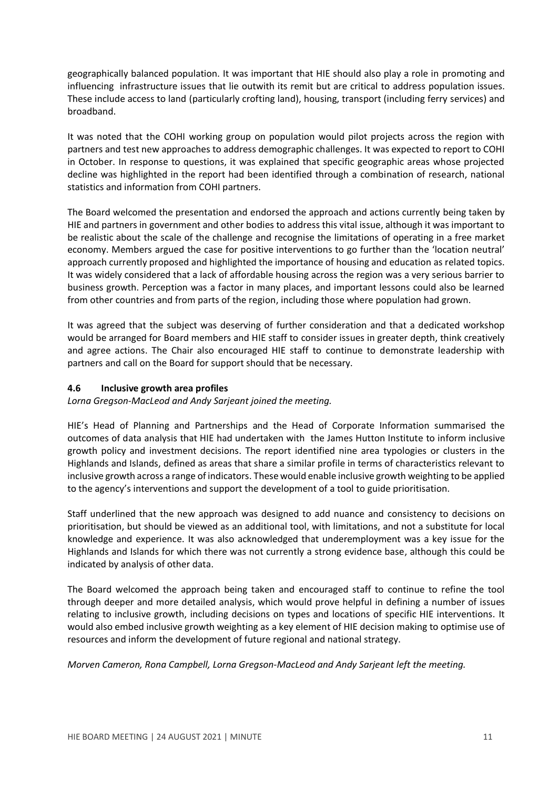geographically balanced population. It was important that HIE should also play a role in promoting and influencing infrastructure issues that lie outwith its remit but are critical to address population issues. These include access to land (particularly crofting land), housing, transport (including ferry services) and broadband.

It was noted that the COHI working group on population would pilot projects across the region with partners and test new approaches to address demographic challenges. It was expected to report to COHI in October. In response to questions, it was explained that specific geographic areas whose projected decline was highlighted in the report had been identified through a combination of research, national statistics and information from COHI partners.

The Board welcomed the presentation and endorsed the approach and actions currently being taken by HIE and partners in government and other bodies to address this vital issue, although it was important to be realistic about the scale of the challenge and recognise the limitations of operating in a free market economy. Members argued the case for positive interventions to go further than the 'location neutral' approach currently proposed and highlighted the importance of housing and education as related topics. It was widely considered that a lack of affordable housing across the region was a very serious barrier to business growth. Perception was a factor in many places, and important lessons could also be learned from other countries and from parts of the region, including those where population had grown.

It was agreed that the subject was deserving of further consideration and that a dedicated workshop would be arranged for Board members and HIE staff to consider issues in greater depth, think creatively and agree actions. The Chair also encouraged HIE staff to continue to demonstrate leadership with partners and call on the Board for support should that be necessary.

## **4.6 Inclusive growth area profiles**

*Lorna Gregson-MacLeod and Andy Sarjeant joined the meeting.*

HIE's Head of Planning and Partnerships and the Head of Corporate Information summarised the outcomes of data analysis that HIE had undertaken with the James Hutton Institute to inform inclusive growth policy and investment decisions. The report identified nine area typologies or clusters in the Highlands and Islands, defined as areas that share a similar profile in terms of characteristics relevant to inclusive growth across a range of indicators. These would enable inclusive growth weighting to be applied to the agency's interventions and support the development of a tool to guide prioritisation.

Staff underlined that the new approach was designed to add nuance and consistency to decisions on prioritisation, but should be viewed as an additional tool, with limitations, and not a substitute for local knowledge and experience. It was also acknowledged that underemployment was a key issue for the Highlands and Islands for which there was not currently a strong evidence base, although this could be indicated by analysis of other data.

The Board welcomed the approach being taken and encouraged staff to continue to refine the tool through deeper and more detailed analysis, which would prove helpful in defining a number of issues relating to inclusive growth, including decisions on types and locations of specific HIE interventions. It would also embed inclusive growth weighting as a key element of HIE decision making to optimise use of resources and inform the development of future regional and national strategy.

*Morven Cameron, Rona Campbell, Lorna Gregson-MacLeod and Andy Sarjeant left the meeting.*